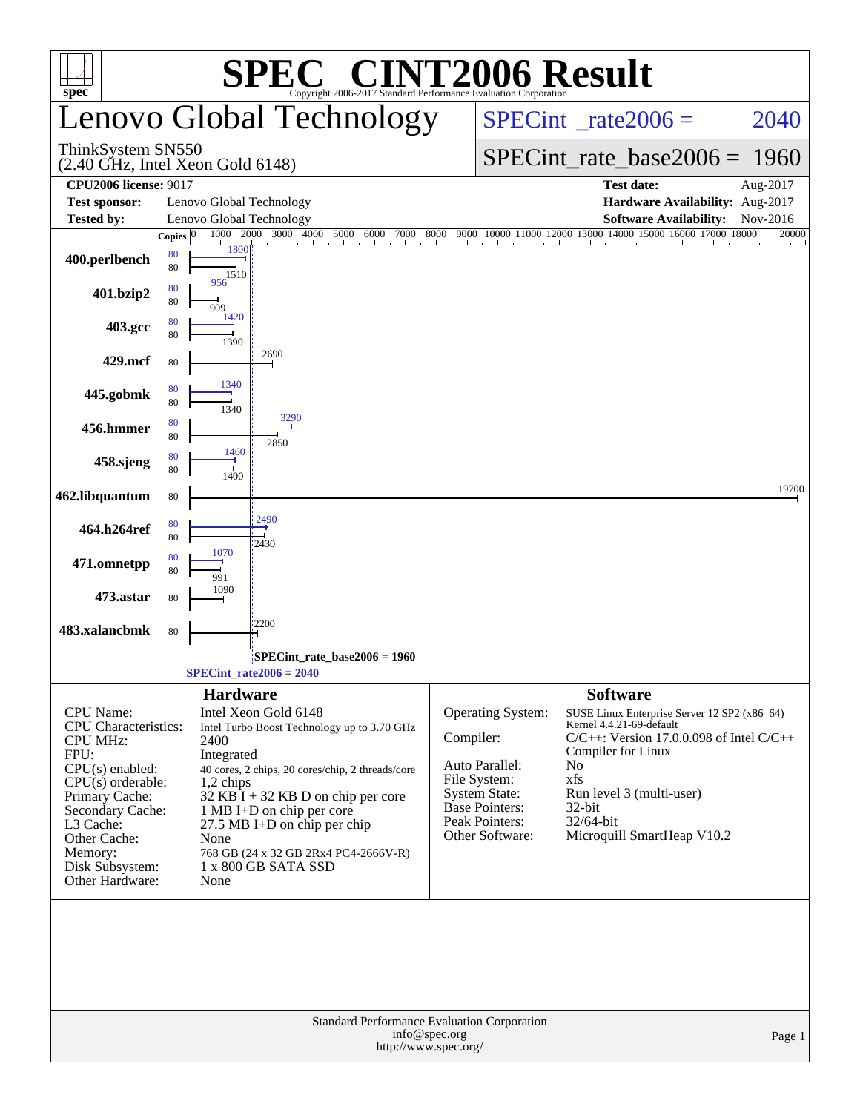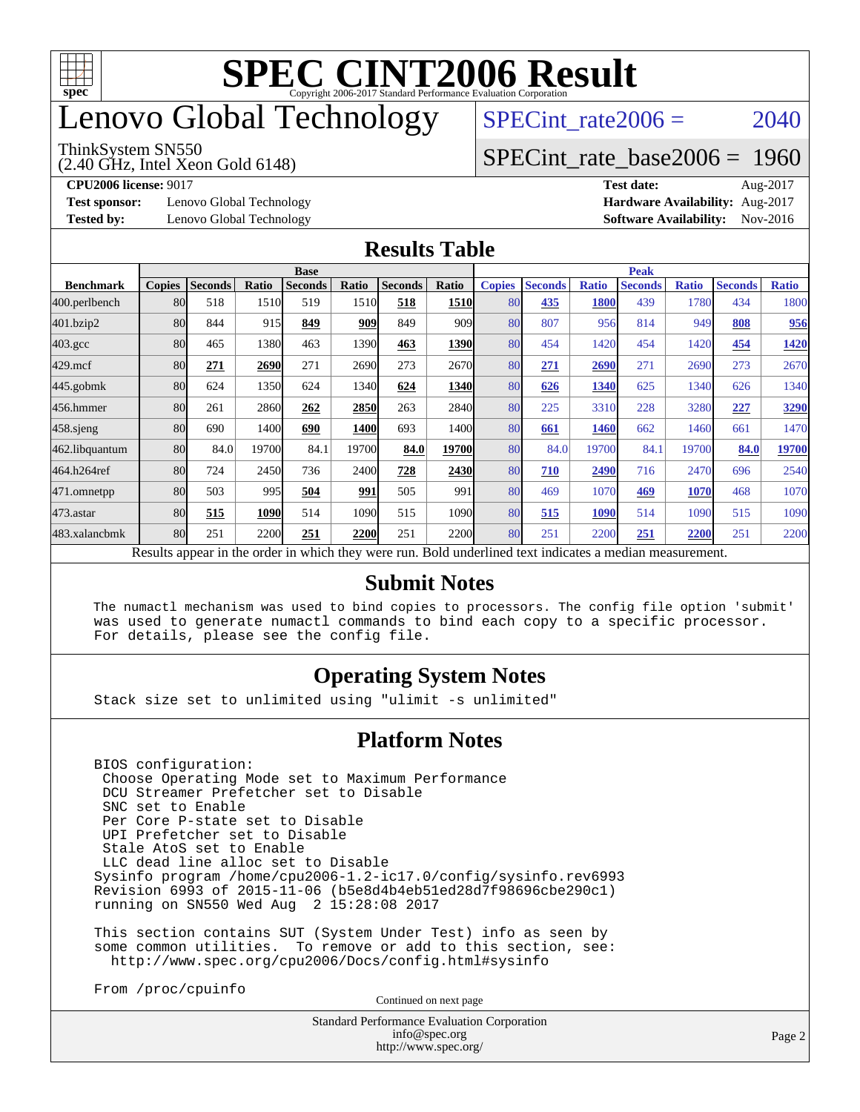

## enovo Global Technology

#### ThinkSystem SN550

(2.40 GHz, Intel Xeon Gold 6148)

SPECint rate $2006 = 2040$ 

#### [SPECint\\_rate\\_base2006 =](http://www.spec.org/auto/cpu2006/Docs/result-fields.html#SPECintratebase2006) 1960

**[Test sponsor:](http://www.spec.org/auto/cpu2006/Docs/result-fields.html#Testsponsor)** Lenovo Global Technology **[Hardware Availability:](http://www.spec.org/auto/cpu2006/Docs/result-fields.html#HardwareAvailability)** Aug-2017

**[CPU2006 license:](http://www.spec.org/auto/cpu2006/Docs/result-fields.html#CPU2006license)** 9017 **[Test date:](http://www.spec.org/auto/cpu2006/Docs/result-fields.html#Testdate)** Aug-2017 **[Tested by:](http://www.spec.org/auto/cpu2006/Docs/result-fields.html#Testedby)** Lenovo Global Technology **[Software Availability:](http://www.spec.org/auto/cpu2006/Docs/result-fields.html#SoftwareAvailability)** Nov-2016

#### **[Results Table](http://www.spec.org/auto/cpu2006/Docs/result-fields.html#ResultsTable)**

|                  | <b>Base</b>   |                |       |                |       |                |             | <b>Peak</b>   |                |              |                                                                                                          |              |                |              |
|------------------|---------------|----------------|-------|----------------|-------|----------------|-------------|---------------|----------------|--------------|----------------------------------------------------------------------------------------------------------|--------------|----------------|--------------|
| <b>Benchmark</b> | <b>Copies</b> | <b>Seconds</b> | Ratio | <b>Seconds</b> | Ratio | <b>Seconds</b> | Ratio       | <b>Copies</b> | <b>Seconds</b> | <b>Ratio</b> | <b>Seconds</b>                                                                                           | <b>Ratio</b> | <b>Seconds</b> | <b>Ratio</b> |
| 400.perlbench    | 80            | 518            | 1510  | 519            | 1510  | 518            | 1510        | 80            | 435            | <b>1800</b>  | 439                                                                                                      | 1780         | 434            | 1800         |
| 401.bzip2        | 80            | 844            | 915   | 849            | 909   | 849            | 909         | 80            | 807            | 956          | 814                                                                                                      | 949          | 808            | 956          |
| $403.\text{gcc}$ | 80            | 465            | 1380  | 463            | 1390  | 463            | 1390        | 80            | 454            | 1420         | 454                                                                                                      | 1420         | 454            | 1420         |
| $429$ .mcf       | 80            | 271            | 2690  | 271            | 2690  | 273            | 2670        | 80            | 271            | 2690         | 271                                                                                                      | 2690         | 273            | 2670         |
| $445$ .gobmk     | 80            | 624            | 1350  | 624            | 1340  | 624            | 1340        | 80            | 626            | 1340         | 625                                                                                                      | 1340         | 626            | 1340         |
| 456.hmmer        | 80            | 261            | 2860  | 262            | 2850  | 263            | 2840        | 80            | 225            | 3310         | 228                                                                                                      | 3280         | 227            | 3290         |
| $458$ .sjeng     | 80            | 690            | 1400  | 690            | 1400  | 693            | 1400l       | 80            | 661            | 1460         | 662                                                                                                      | 1460         | 661            | 1470         |
| 462.libquantum   | 80            | 84.0           | 19700 | 84.1           | 19700 | 84.0           | 19700       | 80            | 84.0           | 19700        | 84.1                                                                                                     | 19700        | 84.0           | 19700        |
| 464.h264ref      | 80            | 724            | 2450  | 736            | 2400  | 728            | 2430        | 80            | 710            | 2490         | 716                                                                                                      | 2470         | 696            | 2540         |
| 471.omnetpp      | 80            | 503            | 995   | 504            | 991   | 505            | 991         | 80            | 469            | 1070         | 469                                                                                                      | 1070         | 468            | 1070         |
| $473$ . astar    | 80            | 515            | 1090  | 514            | 1090  | 515            | 1090        | 80            | 515            | 1090         | 514                                                                                                      | 1090         | 515            | 1090         |
| 483.xalancbmk    | 80            | 251            | 2200  | 251            | 2200  | 251            | <b>2200</b> | 80            | 251            | 2200         | 251                                                                                                      | 2200         | 251            | 2200         |
|                  |               |                |       |                |       |                |             |               |                |              | Results appear in the order in which they were run. Bold underlined text indicates a median measurement. |              |                |              |

#### **[Submit Notes](http://www.spec.org/auto/cpu2006/Docs/result-fields.html#SubmitNotes)**

 The numactl mechanism was used to bind copies to processors. The config file option 'submit' was used to generate numactl commands to bind each copy to a specific processor. For details, please see the config file.

#### **[Operating System Notes](http://www.spec.org/auto/cpu2006/Docs/result-fields.html#OperatingSystemNotes)**

Stack size set to unlimited using "ulimit -s unlimited"

#### **[Platform Notes](http://www.spec.org/auto/cpu2006/Docs/result-fields.html#PlatformNotes)**

 BIOS configuration: Choose Operating Mode set to Maximum Performance DCU Streamer Prefetcher set to Disable SNC set to Enable Per Core P-state set to Disable UPI Prefetcher set to Disable Stale AtoS set to Enable LLC dead line alloc set to Disable Sysinfo program /home/cpu2006-1.2-ic17.0/config/sysinfo.rev6993 Revision 6993 of 2015-11-06 (b5e8d4b4eb51ed28d7f98696cbe290c1) running on SN550 Wed Aug 2 15:28:08 2017

 This section contains SUT (System Under Test) info as seen by some common utilities. To remove or add to this section, see: <http://www.spec.org/cpu2006/Docs/config.html#sysinfo>

From /proc/cpuinfo

Continued on next page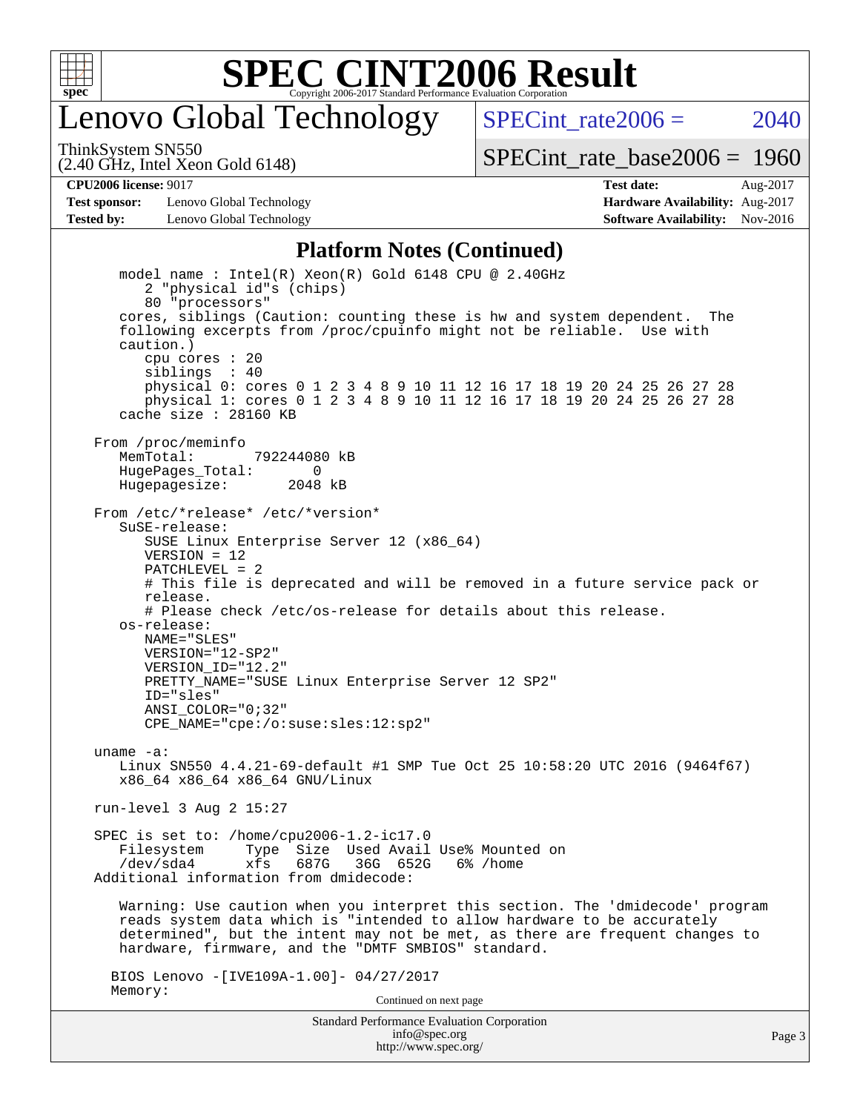

### enovo Global Technology

SPECint rate $2006 = 2040$ 

(2.40 GHz, Intel Xeon Gold 6148) ThinkSystem SN550

[SPECint\\_rate\\_base2006 =](http://www.spec.org/auto/cpu2006/Docs/result-fields.html#SPECintratebase2006) 1960

**[Test sponsor:](http://www.spec.org/auto/cpu2006/Docs/result-fields.html#Testsponsor)** Lenovo Global Technology **[Hardware Availability:](http://www.spec.org/auto/cpu2006/Docs/result-fields.html#HardwareAvailability)** Aug-2017 **[Tested by:](http://www.spec.org/auto/cpu2006/Docs/result-fields.html#Testedby)** Lenovo Global Technology **[Software Availability:](http://www.spec.org/auto/cpu2006/Docs/result-fields.html#SoftwareAvailability)** Nov-2016

**[CPU2006 license:](http://www.spec.org/auto/cpu2006/Docs/result-fields.html#CPU2006license)** 9017 **[Test date:](http://www.spec.org/auto/cpu2006/Docs/result-fields.html#Testdate)** Aug-2017

#### **[Platform Notes \(Continued\)](http://www.spec.org/auto/cpu2006/Docs/result-fields.html#PlatformNotes)**

Standard Performance Evaluation Corporation model name : Intel(R) Xeon(R) Gold 6148 CPU @ 2.40GHz 2 "physical id"s (chips) 80 "processors" cores, siblings (Caution: counting these is hw and system dependent. The following excerpts from /proc/cpuinfo might not be reliable. Use with caution.) cpu cores : 20 siblings : 40 physical 0: cores 0 1 2 3 4 8 9 10 11 12 16 17 18 19 20 24 25 26 27 28 physical 1: cores 0 1 2 3 4 8 9 10 11 12 16 17 18 19 20 24 25 26 27 28 cache size : 28160 KB From /proc/meminfo MemTotal: 792244080 kB HugePages\_Total: 0<br>Hugepagesize: 2048 kB Hugepagesize: From /etc/\*release\* /etc/\*version\* SuSE-release: SUSE Linux Enterprise Server 12 (x86\_64) VERSION = 12 PATCHLEVEL = 2 # This file is deprecated and will be removed in a future service pack or release. # Please check /etc/os-release for details about this release. os-release: NAME="SLES" VERSION="12-SP2" VERSION\_ID="12.2" PRETTY\_NAME="SUSE Linux Enterprise Server 12 SP2" ID="sles" ANSI\_COLOR="0;32" CPE\_NAME="cpe:/o:suse:sles:12:sp2" uname -a: Linux SN550 4.4.21-69-default #1 SMP Tue Oct 25 10:58:20 UTC 2016 (9464f67) x86\_64 x86\_64 x86\_64 GNU/Linux run-level 3 Aug 2 15:27 SPEC is set to: /home/cpu2006-1.2-ic17.0 Filesystem Type Size Used Avail Use% Mounted on<br>
/dev/sda4 xfs 687G 36G 652G 6% /home xfs 687G 36G 652G 6% /home Additional information from dmidecode: Warning: Use caution when you interpret this section. The 'dmidecode' program reads system data which is "intended to allow hardware to be accurately determined", but the intent may not be met, as there are frequent changes to hardware, firmware, and the "DMTF SMBIOS" standard. BIOS Lenovo -[IVE109A-1.00]- 04/27/2017 Memory: Continued on next page

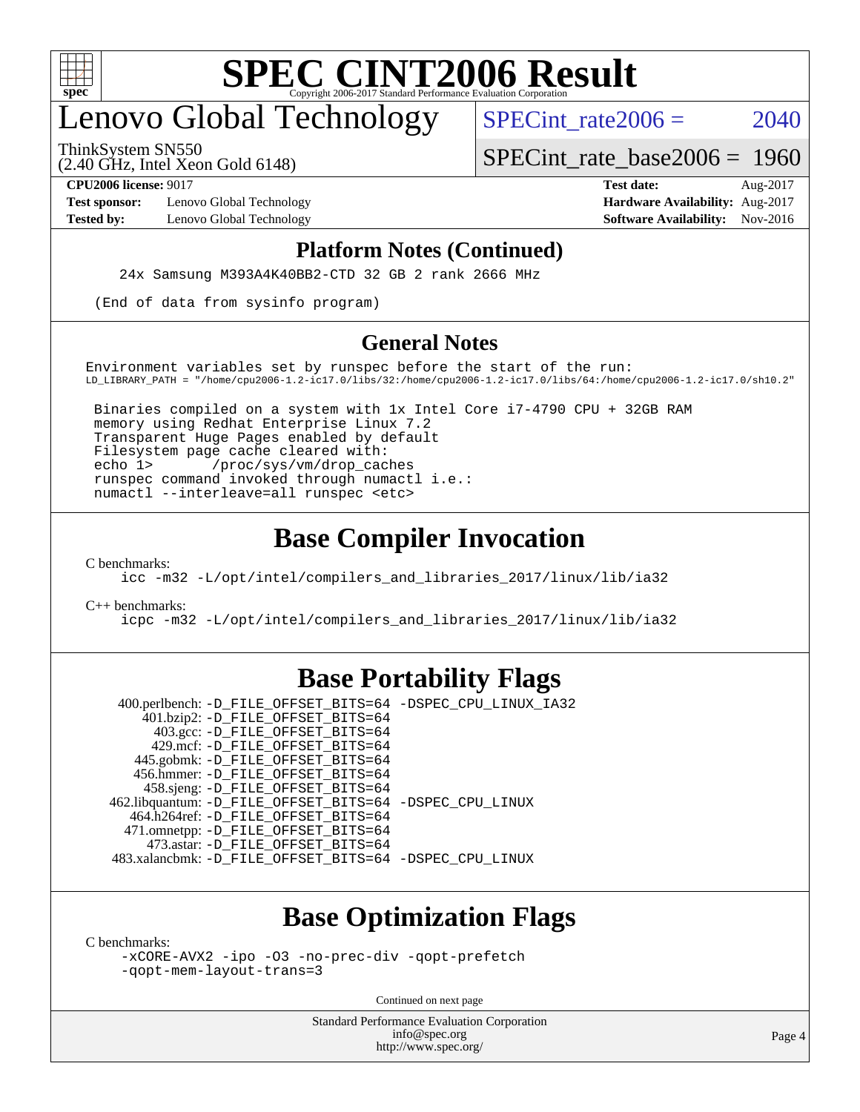

## enovo Global Technology

SPECint rate $2006 = 2040$ 

(2.40 GHz, Intel Xeon Gold 6148) ThinkSystem SN550

[SPECint\\_rate\\_base2006 =](http://www.spec.org/auto/cpu2006/Docs/result-fields.html#SPECintratebase2006) 1960

**[Test sponsor:](http://www.spec.org/auto/cpu2006/Docs/result-fields.html#Testsponsor)** Lenovo Global Technology **[Hardware Availability:](http://www.spec.org/auto/cpu2006/Docs/result-fields.html#HardwareAvailability)** Aug-2017

**[CPU2006 license:](http://www.spec.org/auto/cpu2006/Docs/result-fields.html#CPU2006license)** 9017 **[Test date:](http://www.spec.org/auto/cpu2006/Docs/result-fields.html#Testdate)** Aug-2017 **[Tested by:](http://www.spec.org/auto/cpu2006/Docs/result-fields.html#Testedby)** Lenovo Global Technology **[Software Availability:](http://www.spec.org/auto/cpu2006/Docs/result-fields.html#SoftwareAvailability)** Nov-2016

#### **[Platform Notes \(Continued\)](http://www.spec.org/auto/cpu2006/Docs/result-fields.html#PlatformNotes)**

24x Samsung M393A4K40BB2-CTD 32 GB 2 rank 2666 MHz

(End of data from sysinfo program)

#### **[General Notes](http://www.spec.org/auto/cpu2006/Docs/result-fields.html#GeneralNotes)**

Environment variables set by runspec before the start of the run: LD\_LIBRARY\_PATH = "/home/cpu2006-1.2-ic17.0/libs/32:/home/cpu2006-1.2-ic17.0/libs/64:/home/cpu2006-1.2-ic17.0/sh10.2"

 Binaries compiled on a system with 1x Intel Core i7-4790 CPU + 32GB RAM memory using Redhat Enterprise Linux 7.2 Transparent Huge Pages enabled by default Filesystem page cache cleared with: echo 1> /proc/sys/vm/drop\_caches runspec command invoked through numactl i.e.: numactl --interleave=all runspec <etc>

#### **[Base Compiler Invocation](http://www.spec.org/auto/cpu2006/Docs/result-fields.html#BaseCompilerInvocation)**

[C benchmarks](http://www.spec.org/auto/cpu2006/Docs/result-fields.html#Cbenchmarks):

[icc -m32 -L/opt/intel/compilers\\_and\\_libraries\\_2017/linux/lib/ia32](http://www.spec.org/cpu2006/results/res2017q4/cpu2006-20170918-50100.flags.html#user_CCbase_intel_icc_c29f3ff5a7ed067b11e4ec10a03f03ae)

[C++ benchmarks:](http://www.spec.org/auto/cpu2006/Docs/result-fields.html#CXXbenchmarks)

[icpc -m32 -L/opt/intel/compilers\\_and\\_libraries\\_2017/linux/lib/ia32](http://www.spec.org/cpu2006/results/res2017q4/cpu2006-20170918-50100.flags.html#user_CXXbase_intel_icpc_8c35c7808b62dab9ae41a1aa06361b6b)

#### **[Base Portability Flags](http://www.spec.org/auto/cpu2006/Docs/result-fields.html#BasePortabilityFlags)**

 400.perlbench: [-D\\_FILE\\_OFFSET\\_BITS=64](http://www.spec.org/cpu2006/results/res2017q4/cpu2006-20170918-50100.flags.html#user_basePORTABILITY400_perlbench_file_offset_bits_64_438cf9856305ebd76870a2c6dc2689ab) [-DSPEC\\_CPU\\_LINUX\\_IA32](http://www.spec.org/cpu2006/results/res2017q4/cpu2006-20170918-50100.flags.html#b400.perlbench_baseCPORTABILITY_DSPEC_CPU_LINUX_IA32) 401.bzip2: [-D\\_FILE\\_OFFSET\\_BITS=64](http://www.spec.org/cpu2006/results/res2017q4/cpu2006-20170918-50100.flags.html#user_basePORTABILITY401_bzip2_file_offset_bits_64_438cf9856305ebd76870a2c6dc2689ab) 403.gcc: [-D\\_FILE\\_OFFSET\\_BITS=64](http://www.spec.org/cpu2006/results/res2017q4/cpu2006-20170918-50100.flags.html#user_basePORTABILITY403_gcc_file_offset_bits_64_438cf9856305ebd76870a2c6dc2689ab) 429.mcf: [-D\\_FILE\\_OFFSET\\_BITS=64](http://www.spec.org/cpu2006/results/res2017q4/cpu2006-20170918-50100.flags.html#user_basePORTABILITY429_mcf_file_offset_bits_64_438cf9856305ebd76870a2c6dc2689ab) 445.gobmk: [-D\\_FILE\\_OFFSET\\_BITS=64](http://www.spec.org/cpu2006/results/res2017q4/cpu2006-20170918-50100.flags.html#user_basePORTABILITY445_gobmk_file_offset_bits_64_438cf9856305ebd76870a2c6dc2689ab) 456.hmmer: [-D\\_FILE\\_OFFSET\\_BITS=64](http://www.spec.org/cpu2006/results/res2017q4/cpu2006-20170918-50100.flags.html#user_basePORTABILITY456_hmmer_file_offset_bits_64_438cf9856305ebd76870a2c6dc2689ab) 458.sjeng: [-D\\_FILE\\_OFFSET\\_BITS=64](http://www.spec.org/cpu2006/results/res2017q4/cpu2006-20170918-50100.flags.html#user_basePORTABILITY458_sjeng_file_offset_bits_64_438cf9856305ebd76870a2c6dc2689ab) 462.libquantum: [-D\\_FILE\\_OFFSET\\_BITS=64](http://www.spec.org/cpu2006/results/res2017q4/cpu2006-20170918-50100.flags.html#user_basePORTABILITY462_libquantum_file_offset_bits_64_438cf9856305ebd76870a2c6dc2689ab) [-DSPEC\\_CPU\\_LINUX](http://www.spec.org/cpu2006/results/res2017q4/cpu2006-20170918-50100.flags.html#b462.libquantum_baseCPORTABILITY_DSPEC_CPU_LINUX) 464.h264ref: [-D\\_FILE\\_OFFSET\\_BITS=64](http://www.spec.org/cpu2006/results/res2017q4/cpu2006-20170918-50100.flags.html#user_basePORTABILITY464_h264ref_file_offset_bits_64_438cf9856305ebd76870a2c6dc2689ab) 471.omnetpp: [-D\\_FILE\\_OFFSET\\_BITS=64](http://www.spec.org/cpu2006/results/res2017q4/cpu2006-20170918-50100.flags.html#user_basePORTABILITY471_omnetpp_file_offset_bits_64_438cf9856305ebd76870a2c6dc2689ab) 473.astar: [-D\\_FILE\\_OFFSET\\_BITS=64](http://www.spec.org/cpu2006/results/res2017q4/cpu2006-20170918-50100.flags.html#user_basePORTABILITY473_astar_file_offset_bits_64_438cf9856305ebd76870a2c6dc2689ab) 483.xalancbmk: [-D\\_FILE\\_OFFSET\\_BITS=64](http://www.spec.org/cpu2006/results/res2017q4/cpu2006-20170918-50100.flags.html#user_basePORTABILITY483_xalancbmk_file_offset_bits_64_438cf9856305ebd76870a2c6dc2689ab) [-DSPEC\\_CPU\\_LINUX](http://www.spec.org/cpu2006/results/res2017q4/cpu2006-20170918-50100.flags.html#b483.xalancbmk_baseCXXPORTABILITY_DSPEC_CPU_LINUX)

### **[Base Optimization Flags](http://www.spec.org/auto/cpu2006/Docs/result-fields.html#BaseOptimizationFlags)**

[C benchmarks](http://www.spec.org/auto/cpu2006/Docs/result-fields.html#Cbenchmarks):

[-xCORE-AVX2](http://www.spec.org/cpu2006/results/res2017q4/cpu2006-20170918-50100.flags.html#user_CCbase_f-xCORE-AVX2) [-ipo](http://www.spec.org/cpu2006/results/res2017q4/cpu2006-20170918-50100.flags.html#user_CCbase_f-ipo) [-O3](http://www.spec.org/cpu2006/results/res2017q4/cpu2006-20170918-50100.flags.html#user_CCbase_f-O3) [-no-prec-div](http://www.spec.org/cpu2006/results/res2017q4/cpu2006-20170918-50100.flags.html#user_CCbase_f-no-prec-div) [-qopt-prefetch](http://www.spec.org/cpu2006/results/res2017q4/cpu2006-20170918-50100.flags.html#user_CCbase_f-qopt-prefetch) [-qopt-mem-layout-trans=3](http://www.spec.org/cpu2006/results/res2017q4/cpu2006-20170918-50100.flags.html#user_CCbase_f-qopt-mem-layout-trans_170f5be61cd2cedc9b54468c59262d5d)

Continued on next page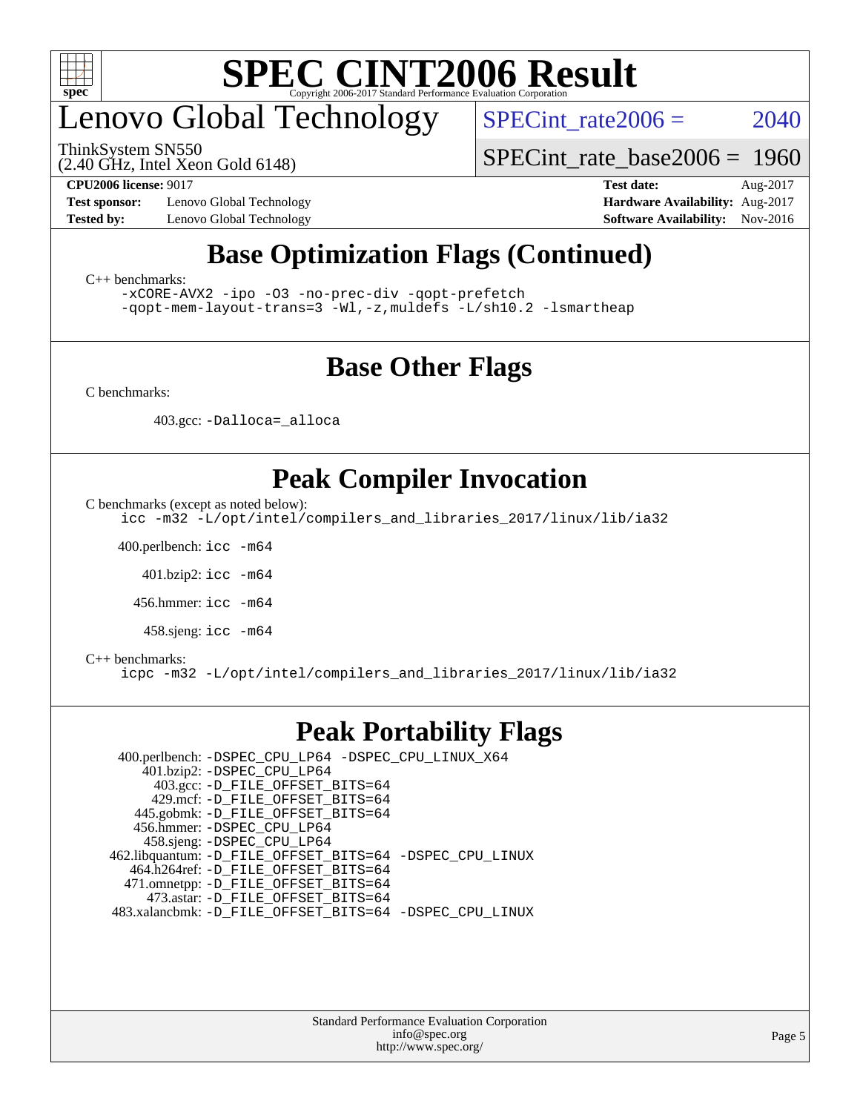

## enovo Global Technology

ThinkSystem SN550

SPECint rate $2006 = 2040$ 

(2.40 GHz, Intel Xeon Gold 6148)

[SPECint\\_rate\\_base2006 =](http://www.spec.org/auto/cpu2006/Docs/result-fields.html#SPECintratebase2006) 1960

**[Test sponsor:](http://www.spec.org/auto/cpu2006/Docs/result-fields.html#Testsponsor)** Lenovo Global Technology **[Hardware Availability:](http://www.spec.org/auto/cpu2006/Docs/result-fields.html#HardwareAvailability)** Aug-2017 **[Tested by:](http://www.spec.org/auto/cpu2006/Docs/result-fields.html#Testedby)** Lenovo Global Technology **[Software Availability:](http://www.spec.org/auto/cpu2006/Docs/result-fields.html#SoftwareAvailability)** Nov-2016

**[CPU2006 license:](http://www.spec.org/auto/cpu2006/Docs/result-fields.html#CPU2006license)** 9017 **[Test date:](http://www.spec.org/auto/cpu2006/Docs/result-fields.html#Testdate)** Aug-2017

### **[Base Optimization Flags \(Continued\)](http://www.spec.org/auto/cpu2006/Docs/result-fields.html#BaseOptimizationFlags)**

[C++ benchmarks:](http://www.spec.org/auto/cpu2006/Docs/result-fields.html#CXXbenchmarks)

[-xCORE-AVX2](http://www.spec.org/cpu2006/results/res2017q4/cpu2006-20170918-50100.flags.html#user_CXXbase_f-xCORE-AVX2) [-ipo](http://www.spec.org/cpu2006/results/res2017q4/cpu2006-20170918-50100.flags.html#user_CXXbase_f-ipo) [-O3](http://www.spec.org/cpu2006/results/res2017q4/cpu2006-20170918-50100.flags.html#user_CXXbase_f-O3) [-no-prec-div](http://www.spec.org/cpu2006/results/res2017q4/cpu2006-20170918-50100.flags.html#user_CXXbase_f-no-prec-div) [-qopt-prefetch](http://www.spec.org/cpu2006/results/res2017q4/cpu2006-20170918-50100.flags.html#user_CXXbase_f-qopt-prefetch) [-qopt-mem-layout-trans=3](http://www.spec.org/cpu2006/results/res2017q4/cpu2006-20170918-50100.flags.html#user_CXXbase_f-qopt-mem-layout-trans_170f5be61cd2cedc9b54468c59262d5d) [-Wl,-z,muldefs](http://www.spec.org/cpu2006/results/res2017q4/cpu2006-20170918-50100.flags.html#user_CXXbase_link_force_multiple1_74079c344b956b9658436fd1b6dd3a8a) [-L/sh10.2 -lsmartheap](http://www.spec.org/cpu2006/results/res2017q4/cpu2006-20170918-50100.flags.html#user_CXXbase_SmartHeap_b831f2d313e2fffa6dfe3f00ffc1f1c0)

### **[Base Other Flags](http://www.spec.org/auto/cpu2006/Docs/result-fields.html#BaseOtherFlags)**

[C benchmarks](http://www.spec.org/auto/cpu2006/Docs/result-fields.html#Cbenchmarks):

403.gcc: [-Dalloca=\\_alloca](http://www.spec.org/cpu2006/results/res2017q4/cpu2006-20170918-50100.flags.html#b403.gcc_baseEXTRA_CFLAGS_Dalloca_be3056838c12de2578596ca5467af7f3)

### **[Peak Compiler Invocation](http://www.spec.org/auto/cpu2006/Docs/result-fields.html#PeakCompilerInvocation)**

[C benchmarks \(except as noted below\)](http://www.spec.org/auto/cpu2006/Docs/result-fields.html#Cbenchmarksexceptasnotedbelow):

[icc -m32 -L/opt/intel/compilers\\_and\\_libraries\\_2017/linux/lib/ia32](http://www.spec.org/cpu2006/results/res2017q4/cpu2006-20170918-50100.flags.html#user_CCpeak_intel_icc_c29f3ff5a7ed067b11e4ec10a03f03ae)

400.perlbench: [icc -m64](http://www.spec.org/cpu2006/results/res2017q4/cpu2006-20170918-50100.flags.html#user_peakCCLD400_perlbench_intel_icc_64bit_bda6cc9af1fdbb0edc3795bac97ada53)

401.bzip2: [icc -m64](http://www.spec.org/cpu2006/results/res2017q4/cpu2006-20170918-50100.flags.html#user_peakCCLD401_bzip2_intel_icc_64bit_bda6cc9af1fdbb0edc3795bac97ada53)

456.hmmer: [icc -m64](http://www.spec.org/cpu2006/results/res2017q4/cpu2006-20170918-50100.flags.html#user_peakCCLD456_hmmer_intel_icc_64bit_bda6cc9af1fdbb0edc3795bac97ada53)

458.sjeng: [icc -m64](http://www.spec.org/cpu2006/results/res2017q4/cpu2006-20170918-50100.flags.html#user_peakCCLD458_sjeng_intel_icc_64bit_bda6cc9af1fdbb0edc3795bac97ada53)

#### [C++ benchmarks:](http://www.spec.org/auto/cpu2006/Docs/result-fields.html#CXXbenchmarks)

[icpc -m32 -L/opt/intel/compilers\\_and\\_libraries\\_2017/linux/lib/ia32](http://www.spec.org/cpu2006/results/res2017q4/cpu2006-20170918-50100.flags.html#user_CXXpeak_intel_icpc_8c35c7808b62dab9ae41a1aa06361b6b)

#### **[Peak Portability Flags](http://www.spec.org/auto/cpu2006/Docs/result-fields.html#PeakPortabilityFlags)**

 400.perlbench: [-DSPEC\\_CPU\\_LP64](http://www.spec.org/cpu2006/results/res2017q4/cpu2006-20170918-50100.flags.html#b400.perlbench_peakCPORTABILITY_DSPEC_CPU_LP64) [-DSPEC\\_CPU\\_LINUX\\_X64](http://www.spec.org/cpu2006/results/res2017q4/cpu2006-20170918-50100.flags.html#b400.perlbench_peakCPORTABILITY_DSPEC_CPU_LINUX_X64) 401.bzip2: [-DSPEC\\_CPU\\_LP64](http://www.spec.org/cpu2006/results/res2017q4/cpu2006-20170918-50100.flags.html#suite_peakCPORTABILITY401_bzip2_DSPEC_CPU_LP64) 403.gcc: [-D\\_FILE\\_OFFSET\\_BITS=64](http://www.spec.org/cpu2006/results/res2017q4/cpu2006-20170918-50100.flags.html#user_peakPORTABILITY403_gcc_file_offset_bits_64_438cf9856305ebd76870a2c6dc2689ab) 429.mcf: [-D\\_FILE\\_OFFSET\\_BITS=64](http://www.spec.org/cpu2006/results/res2017q4/cpu2006-20170918-50100.flags.html#user_peakPORTABILITY429_mcf_file_offset_bits_64_438cf9856305ebd76870a2c6dc2689ab) 445.gobmk: [-D\\_FILE\\_OFFSET\\_BITS=64](http://www.spec.org/cpu2006/results/res2017q4/cpu2006-20170918-50100.flags.html#user_peakPORTABILITY445_gobmk_file_offset_bits_64_438cf9856305ebd76870a2c6dc2689ab) 456.hmmer: [-DSPEC\\_CPU\\_LP64](http://www.spec.org/cpu2006/results/res2017q4/cpu2006-20170918-50100.flags.html#suite_peakCPORTABILITY456_hmmer_DSPEC_CPU_LP64) 458.sjeng: [-DSPEC\\_CPU\\_LP64](http://www.spec.org/cpu2006/results/res2017q4/cpu2006-20170918-50100.flags.html#suite_peakCPORTABILITY458_sjeng_DSPEC_CPU_LP64) 462.libquantum: [-D\\_FILE\\_OFFSET\\_BITS=64](http://www.spec.org/cpu2006/results/res2017q4/cpu2006-20170918-50100.flags.html#user_peakPORTABILITY462_libquantum_file_offset_bits_64_438cf9856305ebd76870a2c6dc2689ab) [-DSPEC\\_CPU\\_LINUX](http://www.spec.org/cpu2006/results/res2017q4/cpu2006-20170918-50100.flags.html#b462.libquantum_peakCPORTABILITY_DSPEC_CPU_LINUX) 464.h264ref: [-D\\_FILE\\_OFFSET\\_BITS=64](http://www.spec.org/cpu2006/results/res2017q4/cpu2006-20170918-50100.flags.html#user_peakPORTABILITY464_h264ref_file_offset_bits_64_438cf9856305ebd76870a2c6dc2689ab) 471.omnetpp: [-D\\_FILE\\_OFFSET\\_BITS=64](http://www.spec.org/cpu2006/results/res2017q4/cpu2006-20170918-50100.flags.html#user_peakPORTABILITY471_omnetpp_file_offset_bits_64_438cf9856305ebd76870a2c6dc2689ab) 473.astar: [-D\\_FILE\\_OFFSET\\_BITS=64](http://www.spec.org/cpu2006/results/res2017q4/cpu2006-20170918-50100.flags.html#user_peakPORTABILITY473_astar_file_offset_bits_64_438cf9856305ebd76870a2c6dc2689ab) 483.xalancbmk: [-D\\_FILE\\_OFFSET\\_BITS=64](http://www.spec.org/cpu2006/results/res2017q4/cpu2006-20170918-50100.flags.html#user_peakPORTABILITY483_xalancbmk_file_offset_bits_64_438cf9856305ebd76870a2c6dc2689ab) [-DSPEC\\_CPU\\_LINUX](http://www.spec.org/cpu2006/results/res2017q4/cpu2006-20170918-50100.flags.html#b483.xalancbmk_peakCXXPORTABILITY_DSPEC_CPU_LINUX)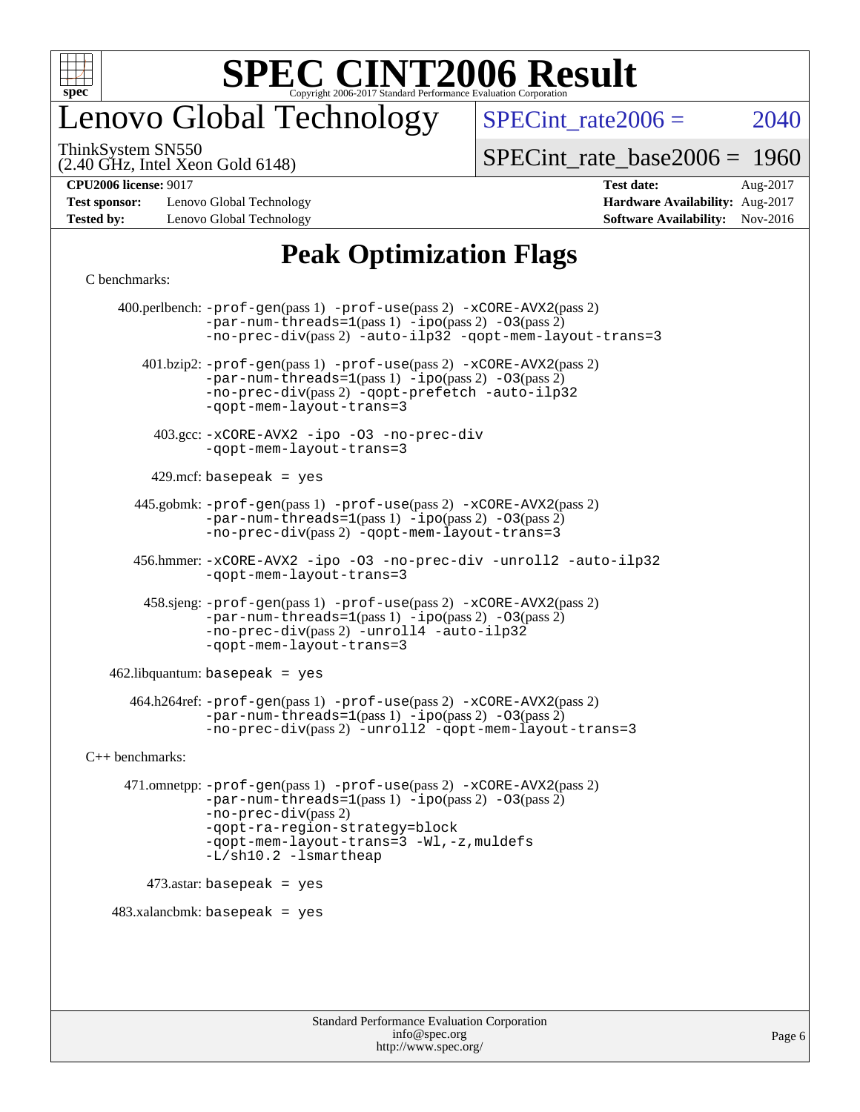

## enovo Global Technology

SPECint rate $2006 = 2040$ 

(2.40 GHz, Intel Xeon Gold 6148) ThinkSystem SN550

[SPECint\\_rate\\_base2006 =](http://www.spec.org/auto/cpu2006/Docs/result-fields.html#SPECintratebase2006) 1960

**[Test sponsor:](http://www.spec.org/auto/cpu2006/Docs/result-fields.html#Testsponsor)** Lenovo Global Technology **[Hardware Availability:](http://www.spec.org/auto/cpu2006/Docs/result-fields.html#HardwareAvailability)** Aug-2017 **[Tested by:](http://www.spec.org/auto/cpu2006/Docs/result-fields.html#Testedby)** Lenovo Global Technology **[Software Availability:](http://www.spec.org/auto/cpu2006/Docs/result-fields.html#SoftwareAvailability)** Nov-2016

**[CPU2006 license:](http://www.spec.org/auto/cpu2006/Docs/result-fields.html#CPU2006license)** 9017 **[Test date:](http://www.spec.org/auto/cpu2006/Docs/result-fields.html#Testdate)** Aug-2017

### **[Peak Optimization Flags](http://www.spec.org/auto/cpu2006/Docs/result-fields.html#PeakOptimizationFlags)**

#### [C benchmarks](http://www.spec.org/auto/cpu2006/Docs/result-fields.html#Cbenchmarks):

 400.perlbench: [-prof-gen](http://www.spec.org/cpu2006/results/res2017q4/cpu2006-20170918-50100.flags.html#user_peakPASS1_CFLAGSPASS1_LDCFLAGS400_perlbench_prof_gen_e43856698f6ca7b7e442dfd80e94a8fc)(pass 1) [-prof-use](http://www.spec.org/cpu2006/results/res2017q4/cpu2006-20170918-50100.flags.html#user_peakPASS2_CFLAGSPASS2_LDCFLAGS400_perlbench_prof_use_bccf7792157ff70d64e32fe3e1250b55)(pass 2) [-xCORE-AVX2](http://www.spec.org/cpu2006/results/res2017q4/cpu2006-20170918-50100.flags.html#user_peakPASS2_CFLAGSPASS2_LDCFLAGS400_perlbench_f-xCORE-AVX2)(pass 2)  $-par-num-threads=1(pass 1) -ipo(pass 2) -O3(pass 2)$  $-par-num-threads=1(pass 1) -ipo(pass 2) -O3(pass 2)$  $-par-num-threads=1(pass 1) -ipo(pass 2) -O3(pass 2)$  $-par-num-threads=1(pass 1) -ipo(pass 2) -O3(pass 2)$  $-par-num-threads=1(pass 1) -ipo(pass 2) -O3(pass 2)$  $-par-num-threads=1(pass 1) -ipo(pass 2) -O3(pass 2)$ [-no-prec-div](http://www.spec.org/cpu2006/results/res2017q4/cpu2006-20170918-50100.flags.html#user_peakPASS2_CFLAGSPASS2_LDCFLAGS400_perlbench_f-no-prec-div)(pass 2) [-auto-ilp32](http://www.spec.org/cpu2006/results/res2017q4/cpu2006-20170918-50100.flags.html#user_peakCOPTIMIZE400_perlbench_f-auto-ilp32) [-qopt-mem-layout-trans=3](http://www.spec.org/cpu2006/results/res2017q4/cpu2006-20170918-50100.flags.html#user_peakCOPTIMIZE400_perlbench_f-qopt-mem-layout-trans_170f5be61cd2cedc9b54468c59262d5d) 401.bzip2: [-prof-gen](http://www.spec.org/cpu2006/results/res2017q4/cpu2006-20170918-50100.flags.html#user_peakPASS1_CFLAGSPASS1_LDCFLAGS401_bzip2_prof_gen_e43856698f6ca7b7e442dfd80e94a8fc)(pass 1) [-prof-use](http://www.spec.org/cpu2006/results/res2017q4/cpu2006-20170918-50100.flags.html#user_peakPASS2_CFLAGSPASS2_LDCFLAGS401_bzip2_prof_use_bccf7792157ff70d64e32fe3e1250b55)(pass 2) [-xCORE-AVX2](http://www.spec.org/cpu2006/results/res2017q4/cpu2006-20170918-50100.flags.html#user_peakPASS2_CFLAGSPASS2_LDCFLAGS401_bzip2_f-xCORE-AVX2)(pass 2) [-par-num-threads=1](http://www.spec.org/cpu2006/results/res2017q4/cpu2006-20170918-50100.flags.html#user_peakPASS1_CFLAGSPASS1_LDCFLAGS401_bzip2_par_num_threads_786a6ff141b4e9e90432e998842df6c2)(pass 1) [-ipo](http://www.spec.org/cpu2006/results/res2017q4/cpu2006-20170918-50100.flags.html#user_peakPASS2_CFLAGSPASS2_LDCFLAGS401_bzip2_f-ipo)(pass 2) [-O3](http://www.spec.org/cpu2006/results/res2017q4/cpu2006-20170918-50100.flags.html#user_peakPASS2_CFLAGSPASS2_LDCFLAGS401_bzip2_f-O3)(pass 2) [-no-prec-div](http://www.spec.org/cpu2006/results/res2017q4/cpu2006-20170918-50100.flags.html#user_peakPASS2_CFLAGSPASS2_LDCFLAGS401_bzip2_f-no-prec-div)(pass 2) [-qopt-prefetch](http://www.spec.org/cpu2006/results/res2017q4/cpu2006-20170918-50100.flags.html#user_peakCOPTIMIZE401_bzip2_f-qopt-prefetch) [-auto-ilp32](http://www.spec.org/cpu2006/results/res2017q4/cpu2006-20170918-50100.flags.html#user_peakCOPTIMIZE401_bzip2_f-auto-ilp32) [-qopt-mem-layout-trans=3](http://www.spec.org/cpu2006/results/res2017q4/cpu2006-20170918-50100.flags.html#user_peakCOPTIMIZE401_bzip2_f-qopt-mem-layout-trans_170f5be61cd2cedc9b54468c59262d5d) 403.gcc: [-xCORE-AVX2](http://www.spec.org/cpu2006/results/res2017q4/cpu2006-20170918-50100.flags.html#user_peakOPTIMIZE403_gcc_f-xCORE-AVX2) [-ipo](http://www.spec.org/cpu2006/results/res2017q4/cpu2006-20170918-50100.flags.html#user_peakOPTIMIZE403_gcc_f-ipo) [-O3](http://www.spec.org/cpu2006/results/res2017q4/cpu2006-20170918-50100.flags.html#user_peakOPTIMIZE403_gcc_f-O3) [-no-prec-div](http://www.spec.org/cpu2006/results/res2017q4/cpu2006-20170918-50100.flags.html#user_peakOPTIMIZE403_gcc_f-no-prec-div) [-qopt-mem-layout-trans=3](http://www.spec.org/cpu2006/results/res2017q4/cpu2006-20170918-50100.flags.html#user_peakCOPTIMIZE403_gcc_f-qopt-mem-layout-trans_170f5be61cd2cedc9b54468c59262d5d)  $429$ .mcf: basepeak = yes 445.gobmk: [-prof-gen](http://www.spec.org/cpu2006/results/res2017q4/cpu2006-20170918-50100.flags.html#user_peakPASS1_CFLAGSPASS1_LDCFLAGS445_gobmk_prof_gen_e43856698f6ca7b7e442dfd80e94a8fc)(pass 1) [-prof-use](http://www.spec.org/cpu2006/results/res2017q4/cpu2006-20170918-50100.flags.html#user_peakPASS2_CFLAGSPASS2_LDCFLAGSPASS2_LDFLAGS445_gobmk_prof_use_bccf7792157ff70d64e32fe3e1250b55)(pass 2) [-xCORE-AVX2](http://www.spec.org/cpu2006/results/res2017q4/cpu2006-20170918-50100.flags.html#user_peakPASS2_CFLAGSPASS2_LDCFLAGSPASS2_LDFLAGS445_gobmk_f-xCORE-AVX2)(pass 2)  $-par-num-threads=1(pass 1) -ipo(pass 2) -O3(pass 2)$  $-par-num-threads=1(pass 1) -ipo(pass 2) -O3(pass 2)$  $-par-num-threads=1(pass 1) -ipo(pass 2) -O3(pass 2)$  $-par-num-threads=1(pass 1) -ipo(pass 2) -O3(pass 2)$  $-par-num-threads=1(pass 1) -ipo(pass 2) -O3(pass 2)$  $-par-num-threads=1(pass 1) -ipo(pass 2) -O3(pass 2)$ [-no-prec-div](http://www.spec.org/cpu2006/results/res2017q4/cpu2006-20170918-50100.flags.html#user_peakPASS2_LDCFLAGS445_gobmk_f-no-prec-div)(pass 2) [-qopt-mem-layout-trans=3](http://www.spec.org/cpu2006/results/res2017q4/cpu2006-20170918-50100.flags.html#user_peakCOPTIMIZE445_gobmk_f-qopt-mem-layout-trans_170f5be61cd2cedc9b54468c59262d5d) 456.hmmer: [-xCORE-AVX2](http://www.spec.org/cpu2006/results/res2017q4/cpu2006-20170918-50100.flags.html#user_peakOPTIMIZE456_hmmer_f-xCORE-AVX2) [-ipo](http://www.spec.org/cpu2006/results/res2017q4/cpu2006-20170918-50100.flags.html#user_peakOPTIMIZE456_hmmer_f-ipo) [-O3](http://www.spec.org/cpu2006/results/res2017q4/cpu2006-20170918-50100.flags.html#user_peakOPTIMIZE456_hmmer_f-O3) [-no-prec-div](http://www.spec.org/cpu2006/results/res2017q4/cpu2006-20170918-50100.flags.html#user_peakOPTIMIZE456_hmmer_f-no-prec-div) [-unroll2](http://www.spec.org/cpu2006/results/res2017q4/cpu2006-20170918-50100.flags.html#user_peakCOPTIMIZE456_hmmer_f-unroll_784dae83bebfb236979b41d2422d7ec2) [-auto-ilp32](http://www.spec.org/cpu2006/results/res2017q4/cpu2006-20170918-50100.flags.html#user_peakCOPTIMIZE456_hmmer_f-auto-ilp32) [-qopt-mem-layout-trans=3](http://www.spec.org/cpu2006/results/res2017q4/cpu2006-20170918-50100.flags.html#user_peakCOPTIMIZE456_hmmer_f-qopt-mem-layout-trans_170f5be61cd2cedc9b54468c59262d5d) 458.sjeng: [-prof-gen](http://www.spec.org/cpu2006/results/res2017q4/cpu2006-20170918-50100.flags.html#user_peakPASS1_CFLAGSPASS1_LDCFLAGS458_sjeng_prof_gen_e43856698f6ca7b7e442dfd80e94a8fc)(pass 1) [-prof-use](http://www.spec.org/cpu2006/results/res2017q4/cpu2006-20170918-50100.flags.html#user_peakPASS2_CFLAGSPASS2_LDCFLAGS458_sjeng_prof_use_bccf7792157ff70d64e32fe3e1250b55)(pass 2) [-xCORE-AVX2](http://www.spec.org/cpu2006/results/res2017q4/cpu2006-20170918-50100.flags.html#user_peakPASS2_CFLAGSPASS2_LDCFLAGS458_sjeng_f-xCORE-AVX2)(pass 2)  $-par-num-threads=1(pass 1) -ipo(pass 2) -O3(pass 2)$  $-par-num-threads=1(pass 1) -ipo(pass 2) -O3(pass 2)$  $-par-num-threads=1(pass 1) -ipo(pass 2) -O3(pass 2)$  $-par-num-threads=1(pass 1) -ipo(pass 2) -O3(pass 2)$  $-par-num-threads=1(pass 1) -ipo(pass 2) -O3(pass 2)$  $-par-num-threads=1(pass 1) -ipo(pass 2) -O3(pass 2)$ [-no-prec-div](http://www.spec.org/cpu2006/results/res2017q4/cpu2006-20170918-50100.flags.html#user_peakPASS2_CFLAGSPASS2_LDCFLAGS458_sjeng_f-no-prec-div)(pass 2) [-unroll4](http://www.spec.org/cpu2006/results/res2017q4/cpu2006-20170918-50100.flags.html#user_peakCOPTIMIZE458_sjeng_f-unroll_4e5e4ed65b7fd20bdcd365bec371b81f) [-auto-ilp32](http://www.spec.org/cpu2006/results/res2017q4/cpu2006-20170918-50100.flags.html#user_peakCOPTIMIZE458_sjeng_f-auto-ilp32) [-qopt-mem-layout-trans=3](http://www.spec.org/cpu2006/results/res2017q4/cpu2006-20170918-50100.flags.html#user_peakCOPTIMIZE458_sjeng_f-qopt-mem-layout-trans_170f5be61cd2cedc9b54468c59262d5d)  $462$ .libquantum: basepeak = yes 464.h264ref: [-prof-gen](http://www.spec.org/cpu2006/results/res2017q4/cpu2006-20170918-50100.flags.html#user_peakPASS1_CFLAGSPASS1_LDCFLAGS464_h264ref_prof_gen_e43856698f6ca7b7e442dfd80e94a8fc)(pass 1) [-prof-use](http://www.spec.org/cpu2006/results/res2017q4/cpu2006-20170918-50100.flags.html#user_peakPASS2_CFLAGSPASS2_LDCFLAGS464_h264ref_prof_use_bccf7792157ff70d64e32fe3e1250b55)(pass 2) [-xCORE-AVX2](http://www.spec.org/cpu2006/results/res2017q4/cpu2006-20170918-50100.flags.html#user_peakPASS2_CFLAGSPASS2_LDCFLAGS464_h264ref_f-xCORE-AVX2)(pass 2)  $-par-num-threads=1(pass 1) -ipo(pass 2) -O3(pass 2)$  $-par-num-threads=1(pass 1) -ipo(pass 2) -O3(pass 2)$  $-par-num-threads=1(pass 1) -ipo(pass 2) -O3(pass 2)$  $-par-num-threads=1(pass 1) -ipo(pass 2) -O3(pass 2)$  $-par-num-threads=1(pass 1) -ipo(pass 2) -O3(pass 2)$  $-par-num-threads=1(pass 1) -ipo(pass 2) -O3(pass 2)$ [-no-prec-div](http://www.spec.org/cpu2006/results/res2017q4/cpu2006-20170918-50100.flags.html#user_peakPASS2_CFLAGSPASS2_LDCFLAGS464_h264ref_f-no-prec-div)(pass 2) [-unroll2](http://www.spec.org/cpu2006/results/res2017q4/cpu2006-20170918-50100.flags.html#user_peakCOPTIMIZE464_h264ref_f-unroll_784dae83bebfb236979b41d2422d7ec2) [-qopt-mem-layout-trans=3](http://www.spec.org/cpu2006/results/res2017q4/cpu2006-20170918-50100.flags.html#user_peakCOPTIMIZE464_h264ref_f-qopt-mem-layout-trans_170f5be61cd2cedc9b54468c59262d5d) [C++ benchmarks:](http://www.spec.org/auto/cpu2006/Docs/result-fields.html#CXXbenchmarks) 471.omnetpp: [-prof-gen](http://www.spec.org/cpu2006/results/res2017q4/cpu2006-20170918-50100.flags.html#user_peakPASS1_CXXFLAGSPASS1_LDCXXFLAGS471_omnetpp_prof_gen_e43856698f6ca7b7e442dfd80e94a8fc)(pass 1) [-prof-use](http://www.spec.org/cpu2006/results/res2017q4/cpu2006-20170918-50100.flags.html#user_peakPASS2_CXXFLAGSPASS2_LDCXXFLAGS471_omnetpp_prof_use_bccf7792157ff70d64e32fe3e1250b55)(pass 2) [-xCORE-AVX2](http://www.spec.org/cpu2006/results/res2017q4/cpu2006-20170918-50100.flags.html#user_peakPASS2_CXXFLAGSPASS2_LDCXXFLAGS471_omnetpp_f-xCORE-AVX2)(pass 2)  $-par-num-threads=1(pass 1) -ipo(pass 2) -O3(pass 2)$  $-par-num-threads=1(pass 1) -ipo(pass 2) -O3(pass 2)$  $-par-num-threads=1(pass 1) -ipo(pass 2) -O3(pass 2)$  $-par-num-threads=1(pass 1) -ipo(pass 2) -O3(pass 2)$  $-par-num-threads=1(pass 1) -ipo(pass 2) -O3(pass 2)$  $-par-num-threads=1(pass 1) -ipo(pass 2) -O3(pass 2)$ [-no-prec-div](http://www.spec.org/cpu2006/results/res2017q4/cpu2006-20170918-50100.flags.html#user_peakPASS2_CXXFLAGSPASS2_LDCXXFLAGS471_omnetpp_f-no-prec-div)(pass 2) [-qopt-ra-region-strategy=block](http://www.spec.org/cpu2006/results/res2017q4/cpu2006-20170918-50100.flags.html#user_peakCXXOPTIMIZE471_omnetpp_f-qopt-ra-region-strategy_430aa8f7c220cbde92ae827fa8d9be32)  [-qopt-mem-layout-trans=3](http://www.spec.org/cpu2006/results/res2017q4/cpu2006-20170918-50100.flags.html#user_peakCXXOPTIMIZE471_omnetpp_f-qopt-mem-layout-trans_170f5be61cd2cedc9b54468c59262d5d) [-Wl,-z,muldefs](http://www.spec.org/cpu2006/results/res2017q4/cpu2006-20170918-50100.flags.html#user_peakEXTRA_LDFLAGS471_omnetpp_link_force_multiple1_74079c344b956b9658436fd1b6dd3a8a) [-L/sh10.2 -lsmartheap](http://www.spec.org/cpu2006/results/res2017q4/cpu2006-20170918-50100.flags.html#user_peakEXTRA_LIBS471_omnetpp_SmartHeap_b831f2d313e2fffa6dfe3f00ffc1f1c0) 473.astar: basepeak = yes  $483.xalanchmk: basepeak = yes$